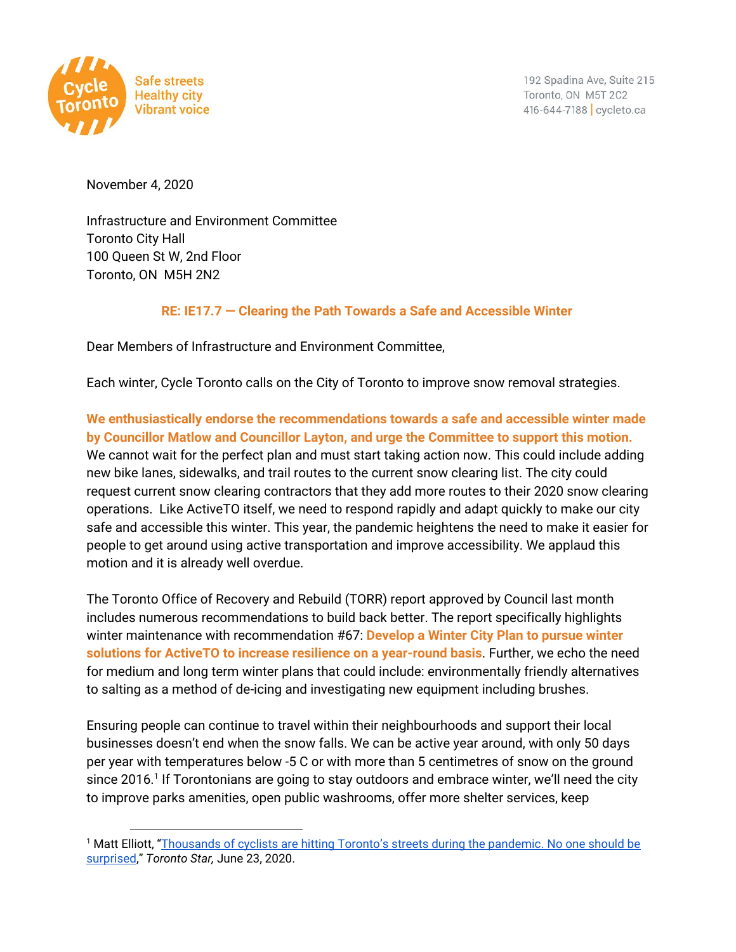

192 Spadina Ave, Suite 215 Toronto, ON M5T 2C2 416-644-7188 cycleto.ca

November 4, 2020

Infrastructure and Environment Committee Toronto City Hall 100 Queen St W, 2nd Floor Toronto, ON M5H 2N2

## **RE: IE17.7 — Clearing the Path Towards a Safe and Accessible Winter**

Dear Members of Infrastructure and Environment Committee,

Each winter, Cycle Toronto calls on the City of Toronto to improve snow removal strategies.

**We enthusiastically endorse the recommendations towards a safe and accessible winter made by Councillor Matlow and Councillor Layton, and urge the Committee to support this motion.** We cannot wait for the perfect plan and must start taking action now. This could include adding new bike lanes, sidewalks, and trail routes to the current snow clearing list. The city could request current snow clearing contractors that they add more routes to their 2020 snow clearing operations. Like ActiveTO itself, we need to respond rapidly and adapt quickly to make our city safe and accessible this winter. This year, the pandemic heightens the need to make it easier for people to get around using active transportation and improve accessibility. We applaud this motion and it is already well overdue.

The Toronto Office of Recovery and Rebuild (TORR) report approved by Council last month includes numerous recommendations to build back better. The report specifically highlights winter maintenance with recommendation #67: **Develop a Winter City Plan to pursue winter solutions for ActiveTO to increase resilience on a year-round basis**. Further, we echo the need for medium and long term winter plans that could include: environmentally friendly alternatives to salting as a method of de-icing and investigating new equipment including brushes.

Ensuring people can continue to travel within their neighbourhoods and support their local businesses doesn't end when the snow falls. We can be active year around, with only 50 days per year with temperatures below -5 C or with more than 5 centimetres of snow on the ground since 2016. $^1$  If Torontonians are going to stay outdoors and embrace winter, we'll need the city to improve parks amenities, open public washrooms, offer more shelter services, keep

<sup>1</sup> Matt Elliott, ["Thousands](https://www.thestar.com/opinion/contributors/2020/06/23/thousands-of-cyclists-are-hitting-torontos-streets-during-the-pandemic-no-one-should-be-surprised.html) of cyclists are hitting Toronto's streets during the pandemic. No one should be [surprised](https://www.thestar.com/opinion/contributors/2020/06/23/thousands-of-cyclists-are-hitting-torontos-streets-during-the-pandemic-no-one-should-be-surprised.html)," *Toronto Star,* June 23, 2020.